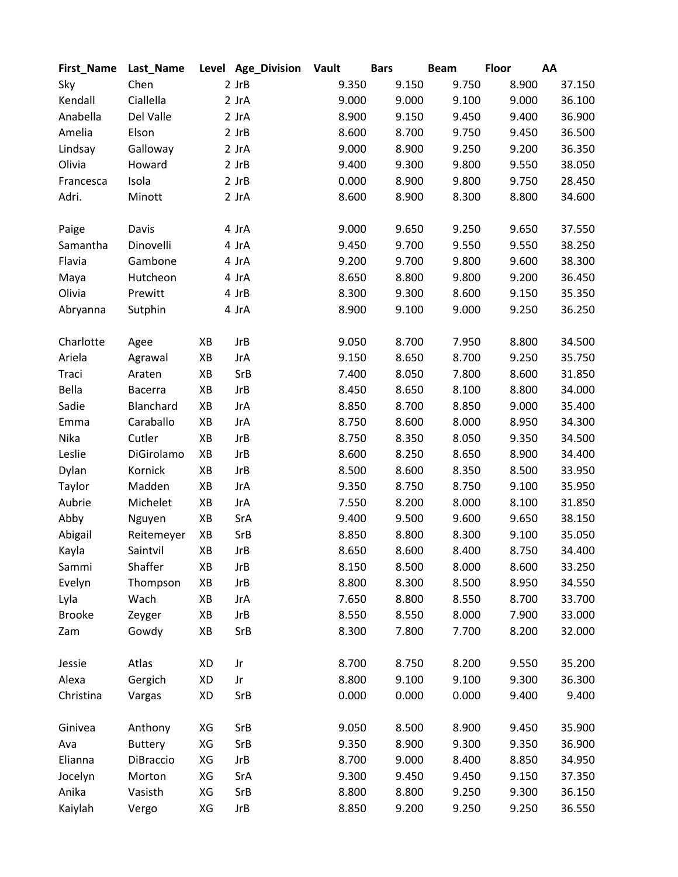| First_Name    | Last_Name      |    | Level Age_Division | <b>Vault</b> | <b>Bars</b> | <b>Beam</b> | <b>Floor</b> | AA     |
|---------------|----------------|----|--------------------|--------------|-------------|-------------|--------------|--------|
| Sky           | Chen           |    | $2$ JrB            | 9.350        | 9.150       | 9.750       | 8.900        | 37.150 |
| Kendall       | Ciallella      |    | 2 JrA              | 9.000        | 9.000       | 9.100       | 9.000        | 36.100 |
| Anabella      | Del Valle      |    | 2 JrA              | 8.900        | 9.150       | 9.450       | 9.400        | 36.900 |
| Amelia        | Elson          |    | $2$ JrB            | 8.600        | 8.700       | 9.750       | 9.450        | 36.500 |
| Lindsay       | Galloway       |    | 2 JrA              | 9.000        | 8.900       | 9.250       | 9.200        | 36.350 |
| Olivia        | Howard         |    | $2$ JrB            | 9.400        | 9.300       | 9.800       | 9.550        | 38.050 |
| Francesca     | Isola          |    | $2$ JrB            | 0.000        | 8.900       | 9.800       | 9.750        | 28.450 |
| Adri.         | Minott         |    | 2 JrA              | 8.600        | 8.900       | 8.300       | 8.800        | 34.600 |
| Paige         | Davis          |    | 4 JrA              | 9.000        | 9.650       | 9.250       | 9.650        | 37.550 |
| Samantha      | Dinovelli      |    | 4 JrA              | 9.450        | 9.700       | 9.550       | 9.550        | 38.250 |
| Flavia        | Gambone        |    | 4 JrA              | 9.200        | 9.700       | 9.800       | 9.600        | 38.300 |
| Maya          | Hutcheon       |    | 4 JrA              | 8.650        | 8.800       | 9.800       | 9.200        | 36.450 |
| Olivia        | Prewitt        |    | 4 JrB              | 8.300        | 9.300       | 8.600       | 9.150        | 35.350 |
| Abryanna      | Sutphin        |    | 4 JrA              | 8.900        | 9.100       | 9.000       | 9.250        | 36.250 |
| Charlotte     | Agee           | XB | <b>JrB</b>         | 9.050        | 8.700       | 7.950       | 8.800        | 34.500 |
| Ariela        | Agrawal        | XB | <b>JrA</b>         | 9.150        | 8.650       | 8.700       | 9.250        | 35.750 |
| Traci         | Araten         | ΧB | SrB                | 7.400        | 8.050       | 7.800       | 8.600        | 31.850 |
| Bella         | <b>Bacerra</b> | XB | <b>JrB</b>         | 8.450        | 8.650       | 8.100       | 8.800        | 34.000 |
| Sadie         | Blanchard      | XB | <b>JrA</b>         | 8.850        | 8.700       | 8.850       | 9.000        | 35.400 |
| Emma          | Caraballo      | XB | JrA                | 8.750        | 8.600       | 8.000       | 8.950        | 34.300 |
| Nika          | Cutler         | XB | <b>JrB</b>         | 8.750        | 8.350       | 8.050       | 9.350        | 34.500 |
| Leslie        | DiGirolamo     | XB | <b>JrB</b>         | 8.600        | 8.250       | 8.650       | 8.900        | 34.400 |
| Dylan         | Kornick        | XB | <b>JrB</b>         | 8.500        | 8.600       | 8.350       | 8.500        | 33.950 |
| Taylor        | Madden         | XB | JrA                | 9.350        | 8.750       | 8.750       | 9.100        | 35.950 |
| Aubrie        | Michelet       | XB | JrA                | 7.550        | 8.200       | 8.000       | 8.100        | 31.850 |
| Abby          | Nguyen         | XB | SrA                | 9.400        | 9.500       | 9.600       | 9.650        | 38.150 |
| Abigail       | Reitemeyer     | XB | SrB                | 8.850        | 8.800       | 8.300       | 9.100        | 35.050 |
| Kayla         | Saintvil       | XB | <b>JrB</b>         | 8.650        | 8.600       | 8.400       | 8.750        | 34.400 |
| Sammi         | Shaffer        | XB | JrB                | 8.150        | 8.500       | 8.000       | 8.600        | 33.250 |
| Evelyn        | Thompson       | XB | <b>JrB</b>         | 8.800        | 8.300       | 8.500       | 8.950        | 34.550 |
| Lyla          | Wach           | XB | JrA                | 7.650        | 8.800       | 8.550       | 8.700        | 33.700 |
| <b>Brooke</b> | Zeyger         | XB | <b>JrB</b>         | 8.550        | 8.550       | 8.000       | 7.900        | 33.000 |
| Zam           | Gowdy          | ΧB | SrB                | 8.300        | 7.800       | 7.700       | 8.200        | 32.000 |
| Jessie        | Atlas          | XD | Jr                 | 8.700        | 8.750       | 8.200       | 9.550        | 35.200 |
| Alexa         | Gergich        | XD | Jr                 | 8.800        | 9.100       | 9.100       | 9.300        | 36.300 |
| Christina     | Vargas         | XD | SrB                | 0.000        | 0.000       | 0.000       | 9.400        | 9.400  |
| Ginivea       | Anthony        | XG | SrB                | 9.050        | 8.500       | 8.900       | 9.450        | 35.900 |
| Ava           | <b>Buttery</b> | XG | SrB                | 9.350        | 8.900       | 9.300       | 9.350        | 36.900 |
| Elianna       | DiBraccio      | XG | <b>JrB</b>         | 8.700        | 9.000       | 8.400       | 8.850        | 34.950 |
| Jocelyn       | Morton         | XG | SrA                | 9.300        | 9.450       | 9.450       | 9.150        | 37.350 |
| Anika         | Vasisth        | XG | SrB                | 8.800        | 8.800       | 9.250       | 9.300        | 36.150 |
| Kaiylah       | Vergo          | XG | <b>JrB</b>         | 8.850        | 9.200       | 9.250       | 9.250        | 36.550 |